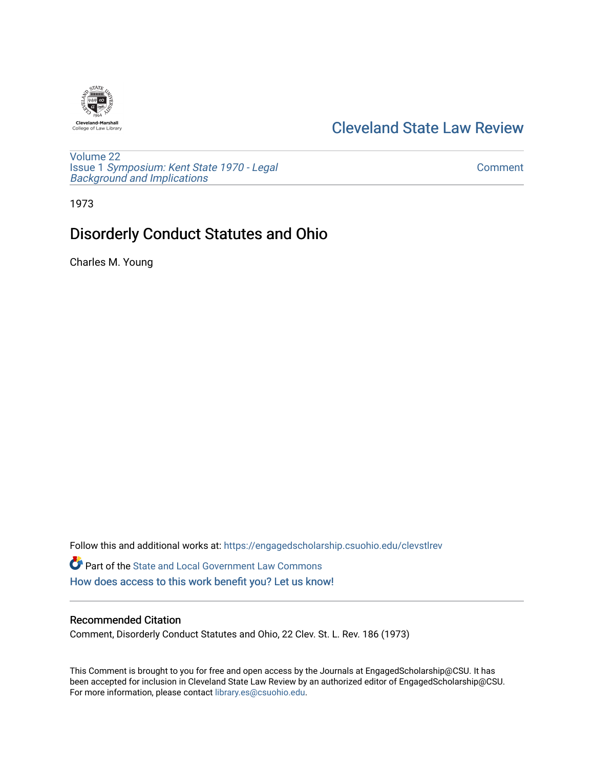

# [Cleveland State Law Review](https://engagedscholarship.csuohio.edu/clevstlrev)

[Volume 22](https://engagedscholarship.csuohio.edu/clevstlrev/vol22) Issue 1 [Symposium: Kent State 1970 - Legal](https://engagedscholarship.csuohio.edu/clevstlrev/vol22/iss1) [Background and Implications](https://engagedscholarship.csuohio.edu/clevstlrev/vol22/iss1)

[Comment](https://engagedscholarship.csuohio.edu/clevstlrev/vol22/iss1/14) 

1973

# Disorderly Conduct Statutes and Ohio

Charles M. Young

Follow this and additional works at: [https://engagedscholarship.csuohio.edu/clevstlrev](https://engagedscholarship.csuohio.edu/clevstlrev?utm_source=engagedscholarship.csuohio.edu%2Fclevstlrev%2Fvol22%2Fiss1%2F14&utm_medium=PDF&utm_campaign=PDFCoverPages) Part of the [State and Local Government Law Commons](http://network.bepress.com/hgg/discipline/879?utm_source=engagedscholarship.csuohio.edu%2Fclevstlrev%2Fvol22%2Fiss1%2F14&utm_medium=PDF&utm_campaign=PDFCoverPages) [How does access to this work benefit you? Let us know!](http://library.csuohio.edu/engaged/)

## Recommended Citation

Comment, Disorderly Conduct Statutes and Ohio, 22 Clev. St. L. Rev. 186 (1973)

This Comment is brought to you for free and open access by the Journals at EngagedScholarship@CSU. It has been accepted for inclusion in Cleveland State Law Review by an authorized editor of EngagedScholarship@CSU. For more information, please contact [library.es@csuohio.edu.](mailto:library.es@csuohio.edu)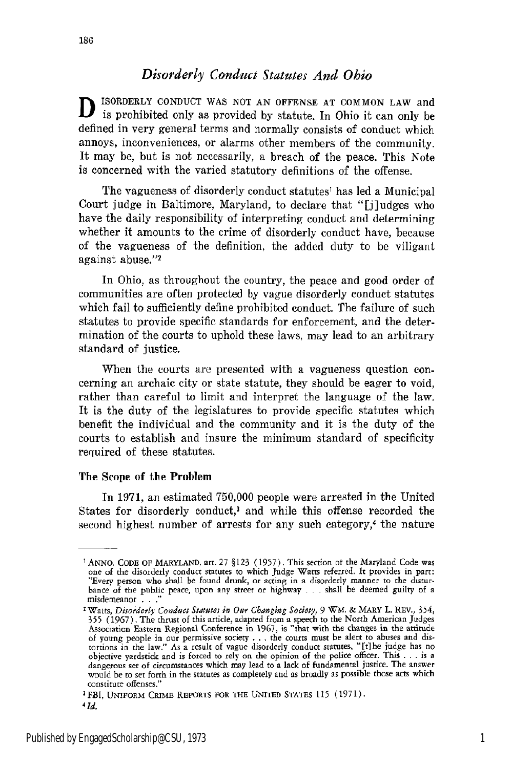## *Disorderly Conduct Statutes And Ohio*

ISORDERLY CONDUCT WAS NOT AN OFFENSE AT COMMON LAW and **is prohibited only as provided by statute.** In Ohio it can only be defined in very general terms and normally consists of conduct which annoys, inconveniences, or alarms other members of the community. It may be, but is not necessarily, a breach of the peace. This Note is concerned with the varied statutory definitions of the offense.

The vagueness of disorderly conduct statutes' has led a Municipal Court judge in Baltimore, Maryland, to declare that "[j]udges who have the daily responsibility of interpreting conduct and determining whether it amounts to the crime of disorderly conduct have, because of the vagueness of the definition, the added duty to be viligant against abuse."<sup>2</sup>

In Ohio, as throughout the country, the peace and good order of communities are often protected by vague disorderly conduct statutes which fail to sufficiently define prohibited conduct. The failure of such statutes to provide specific standards for enforcement, and the determination of the courts to uphold these laws, may lead to an arbitrary standard of justice.

When the courts are presented with a vagueness question concerning an archaic city or state statute, they should be eager to void, rather than careful to limit and interpret the language of the law. It is the duty of the legislatures to provide specific statutes which benefit the individual and the community and it is the duty of the courts to establish and insure the minimum standard of specificity required of these statutes.

## The Scope of the Problem

In 1971, an estimated 750,000 people were arrested in the United States for disorderly conduct,<sup>3</sup> and while this offense recorded the second highest number of arrests for any such category,<sup>4</sup> the nature

<sup>1</sup> **ANNO. CODE** OF MARYLAND, art. 27 §123 (1957). This section ot the Maryland Code was one **of** the disorderly conduct statutes to which Judge Watts referred. It provides in part: "Every person who shall be found drunk, or acting in a disorderly manner to the distur. bance of the public peace, upon any street or highway **- - -**shall be deemed guilty **of** a misdemeanor . . .<sup>2</sup>

<sup>&#</sup>x27;Watts, *Disorderly Conduct Statutes in Our Changing Society,* 9 *WM.* & MARY L. REV., 354, **355** (1967). The thrust of this article, adapted from a speech to the North American Judges Association Eastern Regional Conference in 1967, is "that with the changes in the attitude of young people in our permissive society . . . the courts must be alert to abuses and distortions in the law." As a result of vague disorderly conduct statutes, "[t] he judge has no<br>objective yardstick and is forced to re dangerous set of circumstances which may lead to a lack **of** fundamental justice. The answer would be to set forth in the statutes as completely and as broadly as possible those acts which constitute offenses."

<sup>3</sup> FBI, **UNIFORM** CRIME REPORTS **FOR THE UNITED STATES 115** (1971). *<sup>4</sup>*

*<sup>1</sup>d.*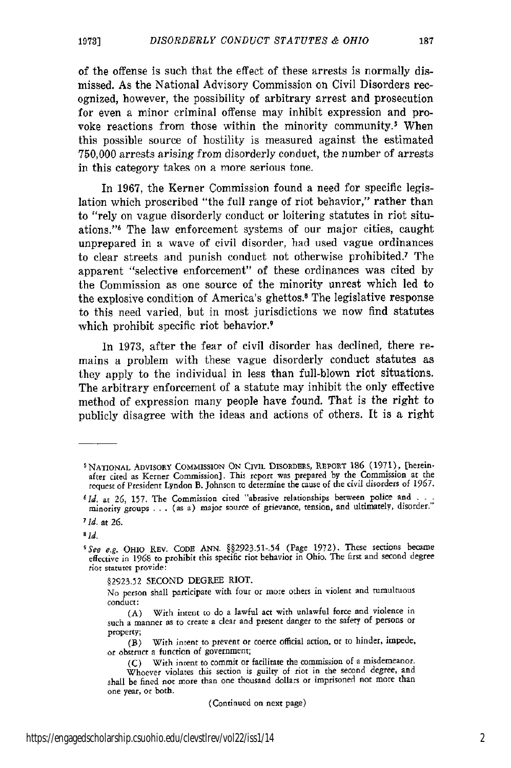of the offense is such that the effect of these arrests is normally dismissed. As the National Advisory Commission on Civil Disorders recognized, however, the possibility of arbitrary arrest and prosecution for even a minor criminal offense may inhibit expression and provoke reactions from those within the minority community.<sup>5</sup> When this possible source of hostility is measured against the estimated 750,000 arrests arising from disorderly conduct, the number of arrests in this category takes on a more serious tone.

In 1967, the Kerner Commission found a need for specific legislation which proscribed "the full range of riot behavior," rather than to "rely on vague disorderly conduct or loitering statutes in riot situations."6 The law enforcement systems of our major cities, caught unprepared in a wave of civil disorder, had used vague ordinances to clear streets and punish conduct not otherwise prohibited.7 The apparent "selective enforcement" of these ordinances was cited by the Commission as one source of the minority unrest which led to the explosive condition of America's ghettos.8 The legislative response to this need varied, but in most jurisdictions we now find statutes which prohibit specific riot behavior.<sup>9</sup>

In 1973, after the fear of civil disorder has declined, there remains a problem with these vague disorderly conduct statutes as they apply to the individual in less than full-blown riot situations. The arbitrary enforcement of a statute may inhibit the only effective method of expression many people have found. That is the right to publicly disagree with the ideas and actions of others. It is a right

*aid.*

(Continued on next page)

NATIONAL ADVISORY COMMISSION ON CIVIL DISORDERS, REPORT 186 (1971), [hereinafter cited as Kerner Commission]. This report was prepared by the Commission at the request of President Lyndon B. Johnson to determine the cause of the civil disorders of **1967.**

*<sup>61</sup>d.* at **26,** 157. The Commission cited "abrasive relationships between police and **. -** .  $1a$ , at  $20$ ,  $12/$ . The Commission cited abrasive relationships between police and  $\dots$  minority groups  $\dots$  (as a) major source of grievance, tension, and ultimately, disorder."

**<sup>7</sup> Id.** at **26.**

*<sup>5</sup> See* e.g. OHIO REV. CODE **ANN. §§2923.51-.54** (Page **1972).** These sections became effective in 1968 **to** prohibit this specific riot behavior in Ohio. The first **and** second degree riot statutes provide:

<sup>§2923.52</sup> SECOND DEGREE RIOT.

No person shall participate with four or more others in violent and tumultuous conduct:

<sup>(</sup>A) With intent to do a lawful act with unlawful force and violence in such a manner as to create a clear and present danger to the safety of persons or property;

<sup>(</sup>B) With intent to prevent or coerce official action, or to hinder, impede, or obstruct **a** function of government;

<sup>(</sup>C) With intent to commit or facilitate the commission of a misdemeanor.

Whoever violates this section is guilty of riot in the second degree, and shall be fined not more than one thousand dollars or imprisoned not more than one year, or both.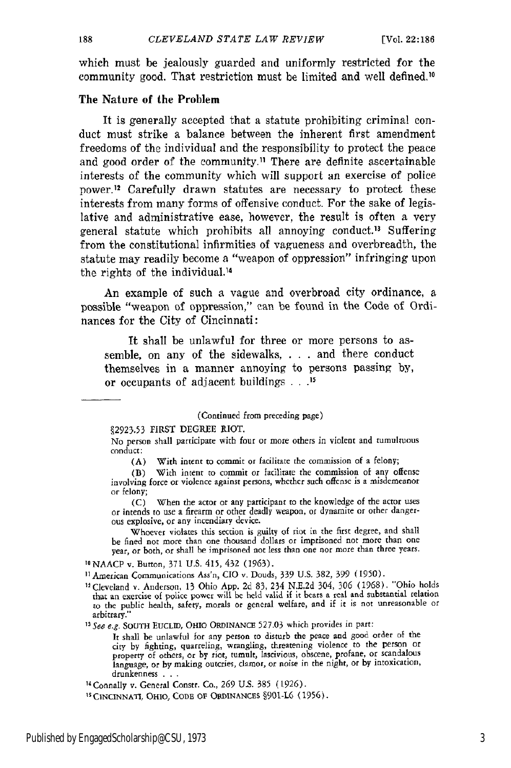which must be jealously guarded and uniformly restricted for the community good. That restriction must be limited and well defined.<sup>10</sup>

## The Nature of the Problem

It is generally accepted that a statute prohibiting criminal conduct must strike a balance between the inherent first amendment freedoms of the individual and the responsibility to protect the peace and good order of the community.11 There are definite ascertainable interests of the community which will support an exercise of police power.<sup>12</sup> Carefully drawn statutes are necessary to protect these interests from many forms of offensive conduct. For the sake of legislative and administrative ease, however, the result is often a very general statute which prohibits all annoying conduct.<sup>13</sup> Suffering from the constitutional infirmities of vagueness and overbreadth, the statute may readily become a "weapon of oppression" infringing upon the rights of the individual. <sup>4</sup>

An example of such a vague and overbroad city ordinance, a possible "weapon of oppression," **can** be found in the Code of Ordinances for the City of Cincinnati:

It shall be unlawful for three or more persons to assemble, on any of the sidewalks, . . . and there conduct themselves in a manner annoying to persons passing by, or occupants of adjacent buildings **. . .2**

(Continued from preceding page)

,2923.53 FIRST DEGREE RIOT.

No person shall participate with four or more others in violent and tumultuous conduct:

(A) With intent to commit **or** facilitate the commission of a felony;

(B) With intent to commit or facilitate the commission of any offense involving force or violence against persons, whether such offense is a misdemeanor or felony;

(C) When the actor or any participant to the knowledge of the actor uses or intends to use a firearm or other deadly weapon, or dynamite or other dangerous explosive, or any incendiary device.

Whoever violates this section is guilty of riot in the first degree, and shall be fined not more than one thousand dollars or imprisoned not more than one year, or both, or shall he imprisoned not less than one nor more than three years.

**t0** NAACP v. Button, 371 U.S. 415, 432 (1963).

**11** American Communications Ass'n, **CIO** v. Douds, 339 U.S. 382, 399 (1950).

"Cleveland v. Anderson, 13 Ohio App. 2d 83, 234 N.E.2d 304, 306 (1968). "Ohio holds that an exercise of police power will be held valid if it bears a real and substantial relation to the public health, safety, morals or general welfare, and if it is not unreasonable or arbitrary."

*13 See e.g.* SOUTH **EUCLID,** OHIO ORDINANCE 527.03 which provides in part:

It shall be unlawful for any person to disturb the peace and good order **of the** city by fighting, quarreling, wrangling, threatening violence to the person or property of others, or by riot, tumult, lascivious, obscene, profane, or scandalous language, or **by** making outcries, clamor, or noise in the night, or by intoxication, drunkenness **. ..**

<sup>14</sup> Connally v. General Constr. Co., 269 U.S. 385 (1926).

<sup>15</sup> CINCINNATI, OHIO, CODE OF ORDINANCES §901-L6 (1956).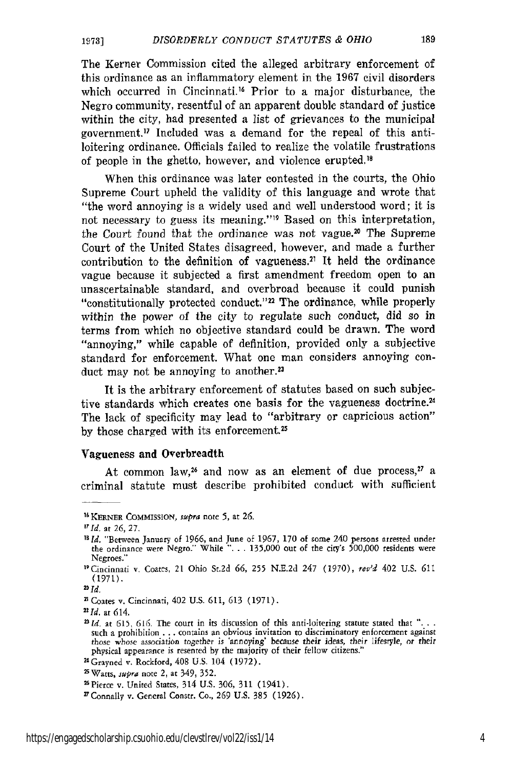The Kerner Commission cited the alleged arbitrary enforcement of this ordinance as an inflammatory element in the 1967 civil disorders which occurred in Cincinnati.<sup>16</sup> Prior to a major disturbance, the Negro community, resentful of an apparent double standard of justice within the city, had presented a list of grievances to the municipal government.<sup>17</sup> Included was a demand for the repeal of this antiloitering ordinance. Officials failed to realize the volatile frustrations of people in the ghetto, however, and violence erupted. <sup>18</sup>

When this ordinance was later contested in the courts, the Ohio Supreme Court upheld the validity of this language and wrote that "the word annoying is a widely used and well understood word; it is not necessary to guess its meaning."19 Based on this interpretation, the Court found that the ordinance was not vague.<sup>20</sup> The Supreme Court of the United States disagreed, however, and made a further contribution to the definition of vagueness.<sup>21</sup> It held the ordinance vague because it subjected a first amendment freedom open to an unascertainable standard, and overbroad because it could punish "constitutionally protected conduct."<sup>22</sup> The ordinance, while properly within the power of the city to regulate such conduct, did so in terms from which no objective standard could be drawn. The word "annoying," while capable of definition, provided only a subjective standard for enforcement. What one man considers annoying conduct may not be annoying to another.<sup>23</sup>

It is the arbitrary enforcement of statutes based on such subjective standards which creates one basis for the vagueness doctrine.<sup>24</sup> The lack of specificity may lead to "arbitrary or capricious action" by those charged with its enforcement.<sup>25</sup>

## Vagueness and Overbreadth

At common law,<sup>26</sup> and now as an element of due process,<sup>27</sup> a criminal statute must describe prohibited conduct with sufficient

<sup>&</sup>quot; KERNER CoMMISsION, *supra* note **5,** at **26.**

*T7 d.* at **26,** 27.

**<sup>7</sup>** *Id.* "Between January of **1966,** and June of 1967, 170 of some 240 persons arrested under the ordinance were Negro." While "... 135,000 out of the city's 500,000 residents were Negroes."

<sup>&</sup>quot;Cincinnati v. Coates, 21 Ohio St.2d **66, 255** N.E.2d 247 (1970), *rev'd* 402 U.S. **611** (1971).

 $20$  Id.

<sup>2</sup> Coates v. Cincinnati, 402 U.S. **611, 613** (1971).

*<sup>2</sup>Id.* at 614.

<sup>&</sup>lt;sup>23</sup> *Id.* at 615, 616. The court in its discussion of this anti-loitering statute stated that "... such a prohibition **...** contains an obvious invitation to discriminatory enforcement against those *whose* association *together* is 'annoying' because their *ideas,* their lifestyle, or their physical appearance is resented by the majority of their fellow citizens."

<sup>24</sup>Grayned v. Rockford, **408** U.S. 104 (1972).

<sup>25</sup>Watts, *smpra* note 2, at 349, 352.

<sup>2&#</sup>x27;Pierce v. United States, 314 U.S. **306,** 311 (1941).

<sup>&#</sup>x27; Connally v. General Constr. Co., **269** U.S. 385 (1926).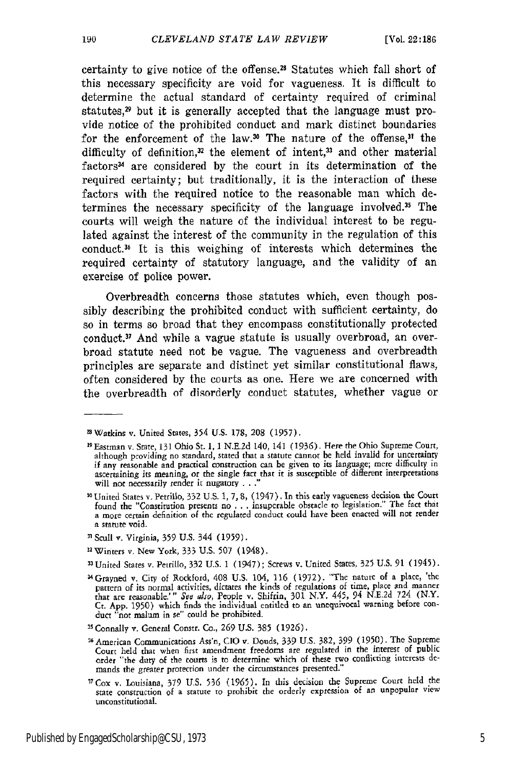190

certainty to give notice of the offense. 28 Statutes which fall short of this necessary specificity are void for vagueness. It is difficult to determine the actual standard of certainty required of criminal statutes, $2^{\circ}$  but it is generally accepted that the language must provide notice of the prohibited conduct and mark distinct boundaries for the enforcement of the law.<sup>30</sup> The nature of the offense,<sup>31</sup> the difficulty of definition,<sup>32</sup> the element of intent,<sup>33</sup> and other material factors<sup>34</sup> are considered by the court in its determination of the required certainty; but traditionally, it is the interaction of these factors with the required notice to the reasonable man which determines the necessary specificity of the language involved.<sup>35</sup> The courts will weigh the nature of the individual interest to be regulated against the interest of the community in the regulation of this conduct. 6 It is this weighing of interests which determines the required certainty of statutory language, and the validity of an exercise of police power.

Overbreadth concerns those statutes which, even though possibly describing the prohibited conduct with sufficient certainty, do so in terms so broad that they encompass constitutionally protected conduct.<sup>37</sup> And while a vague statute is usually overbroad, an overbroad statute need not be vague. The vagueness and overbreadth principles are separate and distinct yet similar constitutional flaws, often considered by the courts as one. Here we are concerned with the overbreadth of disorderly conduct statutes, whether vague or

- **1** Scull v. Virginia, 359 U.S. 344 (1959).
- 3 5Winters v. New York, 333 U.S. **507** (1948).
- 33 United States v. Petrillo, 332 U.S. 1 (1947); Screws v. United States, 325 U.S. 91 (1945).
- 34Grayned v. City of Rockford, 408 U.S. 104, **116** (1972). "The nature **of** a place, 'the pattern of its normal activities, dictates the kinds of regulations of time, place and manner that are reasonable.'" See also, People v. Shifrin, 301 N.Y. 445, 94 N.E.2d 724 (N.Y. Ct. App. 1950) which finds the individual

<sup>&</sup>lt;sup>28</sup> Watkins v. United States, 354 U.S. 178, 208 (1957).

<sup>2</sup> Eastman v. State, 131 Ohio St. 1, 1 N.E.2d 140, 141 (1936). Here the Ohio Supreme Court, although providing no standard, stated that a statute cannot be held invalid for uncertainty if any reasonable and practical construction can be given to its language; mere difliculty in ascertaining its meaning, or the single fact that it is susceptible of different interpretations will not necessarily render it nugatory **. . .**

<sup>&</sup>quot; United States v. Petrillo, 332 U.S. **1,** 7, **8,** (1947). In this early vagueness decision **the** Court found **the** "Constitution presents no ... insuperable obstacle to legislation." The fact that **<sup>a</sup>**more certain definition of the regulated conduct could have been enacted will not render a statute void.

**<sup>35</sup>** Connally v. General Constr. Co., **269** U.S. 385 (1926).

**<sup>36</sup>** American Communications Ass'n, CIO v. Douds, 339 U.S. **382,** 399 (1950). The Supreme Court held that when first amendment freedoms are regulated in the interest of public order "the duty of the courts is **to** determine which of these two conflicting interests **de-**mands **the** greater protection under the circumstances presented."

<sup>T</sup> Cox v. Louisiana, 379 US. 536 (1965). In this decision the Supreme Court held the state construction of a statute to prohibit the orderly expression of an unpopular view unconstitutional.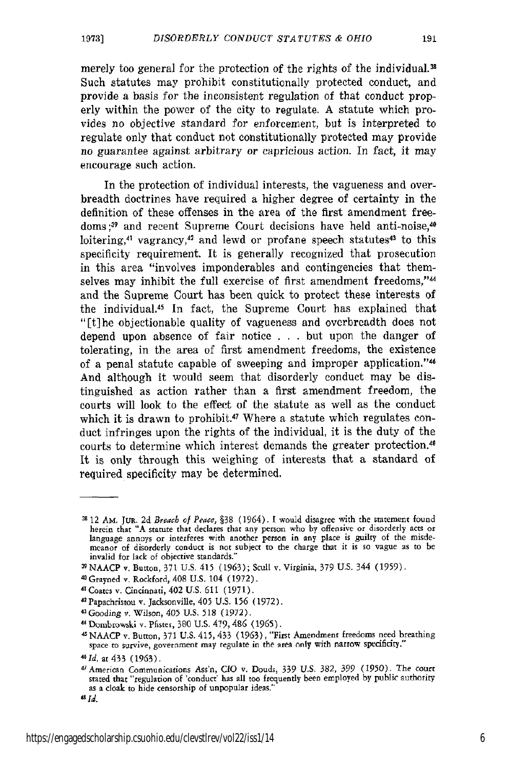merely too general for the protection of the rights of the individual.<sup>38</sup> Such statutes may prohibit constitutionally protected conduct, and provide a basis for the inconsistent regulation of that conduct properly within the power of the city to regulate. A statute which provides no objective standard for enforcement, but is interpreted to regulate only that conduct not constitutionally protected may provide no guarantee against arbitrary or capricious action. In fact, it may encourage such action.

In the protection of individual interests, the vagueness and overbreadth doctrines have required a higher degree of certainty in the definition of these offenses in the area of the first amendment freedoms;<sup>39</sup> and recent Supreme Court decisions have held anti-noise,<sup>40</sup> loitering,<sup>41</sup> vagrancy,<sup>42</sup> and lewd or profane speech statutes<sup>43</sup> to this specificity requirement. It is generally recognized that prosecution in this area "involves imponderables and contingencies that themselves may inhibit the full exercise of first amendment freedoms,"<sup>44</sup> and the Supreme Court has been quick to protect these interests of the individual.5 In fact, the Supreme Court has explained that "[t]he objectionable quality of vagueness and overbreadth does not depend upon absence of fair notice . . . but upon the danger of tolerating, in the area of first amendment freedoms, the existence of a penal statute capable of sweeping and improper application."<sup>46</sup> And although it would seem that disorderly conduct may be distinguished as action rather than a first amendment freedom, the courts will look to the effect of the statute as well as the conduct which it is drawn to prohibit.<sup>47</sup> Where a statute which regulates conduct infringes upon the rights of the individual, it is the duty of the courts to determine which interest demands the greater protection.<sup>48</sup> It is only through this weighing of interests that a standard of required specificity may be determined.

- 
- <sup>41</sup>Coates **v.** Cincinnati, 402 U.S. **611** (1971). 4 2 Papachristou v. Jacksonville, 405 U.S. 156 (1972). 43 Gooding v. Wilson, 405 U.S. **518** (1972).
- 
- 4Dombrowski v. Pfistes, 380 U.S. 479, 486 (1965).

45 NAACP v. Button, 371 U.S. 415,433 (1963), "First Amendment freedoms need breathing space to survive, government may regulate in **the** area only with narrow specificity."

**<sup>38</sup>** 12 *AM.* JUR. 2d *Breach* **of** *Peace,* §38 (1964). **1** would disagree with the statement found herein that "A statute that declares that any person who by offensive or disorderly acts or language annoys or interferes with another person in any place is guilty of the misdemeanor of disorderly conduct is not subject t invalid for lack of objective standards." **<sup>3</sup>**NAACP v. Button, 371 U.S. 415 **(1963);** Scull v. Virginia, 379 **U.S.** 344 (1959). <sup>4</sup>

<sup>0</sup> Grayned v. Rockford, 408 U.S. 104 (1972)

<sup>&</sup>lt;sup>46</sup> Id. at 433 (1963).

<sup>&#</sup>x27;American Communications Ass'n, **CIO** v. Douds, 339 U.S. 382, 399 (1950). The court stated that "regulation of 'conduct' has all too frequently been employed **by** public authority as a cloak **to** hide censorship of unpopular ideas."

 $^{48}$ Id.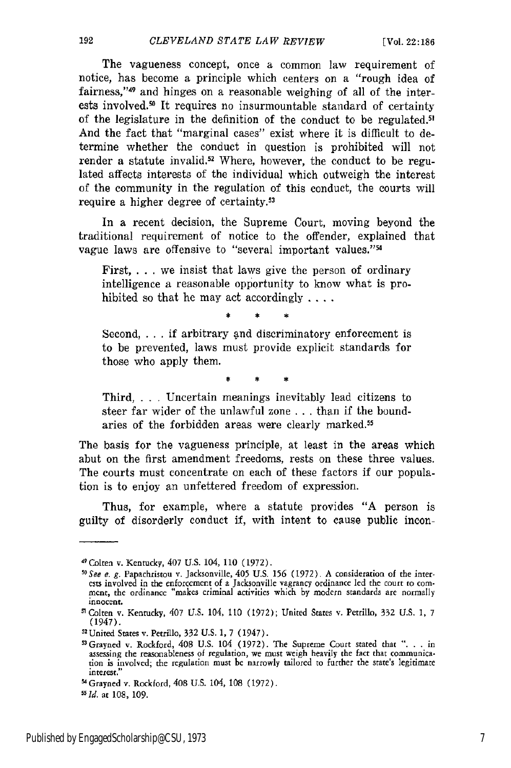The vagueness concept, once a common law requirement of notice, has become a principle which centers on a "rough idea of fairness,"<sup>49</sup> and hinges on a reasonable weighing of all of the interests involved.<sup>50</sup> It requires no insurmountable standard of certainty of the legislature in the definition of the conduct to be regulated.<sup>5</sup> ' And the fact that "marginal cases" exist where it is difficult to determine whether the conduct in question is prohibited will not render a statute invalid.<sup>52</sup> Where, however, the conduct to be regulated affects interests of the individual which outweigh the interest of the community in the regulation of this conduct, the courts will require a higher degree of certainty.<sup>53</sup>

In a recent decision, the Supreme Court, moving beyond the traditional requirement of notice to the offender, explained that vague laws are offensive to "several important values."<sup>54</sup>

First, ... we insist that laws give the person of ordinary intelligence a reasonable opportunity to know what is prohibited so that he may act accordingly **....**

Second, ... if arbitrary and discriminatory enforcement is to be prevented, laws must provide explicit standards for those who apply them.

 $\ddot{}$ 

Third, .. Uncertain meanings inevitably lead citizens to steer far wider of the unlawful zone . . . than if the boundaries of the forbidden areas were clearly marked.<sup>55</sup>

The basis for the vagueness principle, at least in the areas which abut on the first amendment freedoms, rests on these three values. The courts must concentrate on each of these factors if our population is to enjoy an unfettered freedom of expression.

Thus, for example, where a statute provides "A person is guilty of disorderly conduct if, with intent to cause public incon-

<sup>49</sup> Colten v. Kentucky, 407 U.S. 104, 110 (1972).

*s <sup>0</sup> See e. g.* Papachristou v. Jacksonville, 405 U.S. **156** (1972). A consideration **of** the interests involved in the enforcement of a Jacksonville vagrancy ordinance led the court to com- mcnt, the ordinance "makes criminal activities which by modern standards are normally innocent.

**<sup>1</sup>** Colten v. Kentucky, 407 U.S. 104, 110 (1972); United States v. Petrillo, 332 **U.S. 1,** 7 (1947).

**<sup>52</sup>** United States v. Petrillo, 332 U.S. 1, 7 (1947).

<sup>53</sup> Grayned v. Rockford, 408 U.S. 104 (1972). The Supreme Court stated that ". . . in assessing the reasonableness of regulation, we must weigh heavily the fact that communication is involved, the regulation must bc narrowly tailored to further the state's legitimate interest."

S 4 Grayned v. Rockford, 408 **U.S.** 104, 108 (1972).

*<sup>55</sup>Id.* at 108, 109.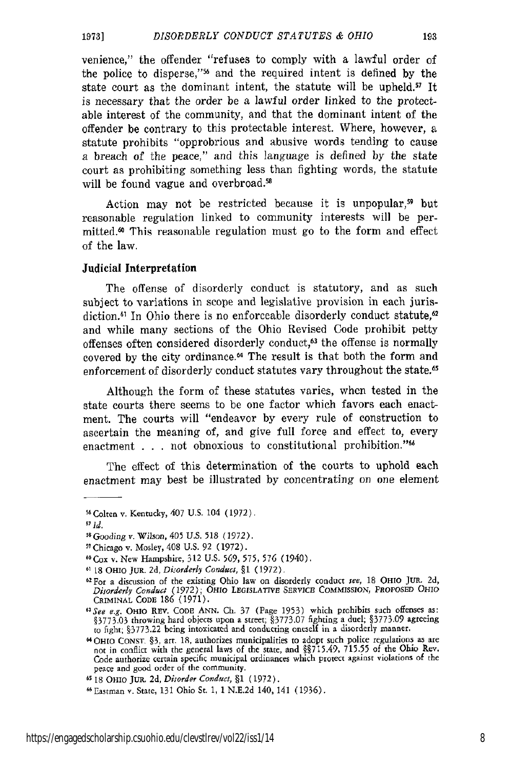#### *DISORDERLY CONDUCT STATUTES & OHIO 19731*

venience," the offender "refuses to comply with a lawful order of the police to disperse,"56 and the required intent is defined by the state court as the dominant intent, the statute will be upheld.<sup>57</sup> It is necessary that the order be a lawful order linked to the protectable interest of the community, and that the dominant intent of the offender be contrary to this protectable interest. Where, however, a statute prohibits "opprobrious and abusive words tending to cause a breach of the peace," and this language is defined by the state court as prohibiting something less than fighting words, the statute will be found vague and overbroad.<sup>58</sup>

Action may not be restricted because it is unpopular,<sup>59</sup> but reasonable regulation linked to community interests will be permitted.60 This reasonable regulation must go to the form and effect of the law.

## Judicial Interpretation

The offense of disorderly conduct is statutory, and as such subject to variations in scope and legislative provision in each jurisdiction.<sup>61</sup> In Ohio there is no enforceable disorderly conduct statute,<sup>62</sup> and while many sections of the Ohio Revised Code prohibit petty offenses often considered disorderly conduct,<sup>63</sup> the offense is normally covered by the city ordinance.<sup>64</sup> The result is that both the form and enforcement of disorderly conduct statutes vary throughout the state.<sup>65</sup>

Although the form of these statutes varies, when tested in the state courts there seems to be one factor which favors each enactment. The courts will "endeavor by every rule of construction to ascertain the meaning of, and give full force and effect to, every enactment . . . not obnoxious to constitutional prohibition."<sup>56</sup>

The effect of this determination of the courts to uphold each enactment may best be illustrated by concentrating on one element

**<sup>56</sup>** Colten v, Kentucky, 407 U.S. 104 (1972).

**<sup>57</sup> Id.**

*<sup>5</sup> Gooding v.* Wilson, 405 **U.S.** 518 (1972).

**<sup>59</sup>** Chicago v. Mosley, 408 U.S. 92 (1972).

**<sup>60</sup>Cox** v. New Hampshire, 312 U.S. 569, 575, **576** (1940).

**<sup>61 18</sup>** OHIO JUR. 2d, *Disorderly Conduct,* §1 **(1972).**

**<sup>62</sup>**For a discussion of the existing Ohio law on disorderly conduct *see,* 18 OHIO Ju,. **2d,** *Disorderly Conduct (1972);* OHIO **LEGISLATIVE SERVICE COMMISSION,** PROPOSED OHIO CRIMINAL **CODE 186** (1971).

*<sup>6&</sup>quot;See e.g.* OHIO REV. **CODE ANN.** Ch. 37 (Page 1953) which prohibits such offenses as: §3773.03 throwing hard objects upon a street; §3773.07 fighting a duel; §3773.09 agreeing to fight; §3773.22 being intoxicated and conducting oneself in a disorderly manner.

<sup>4</sup>HIO **CONST** §3, art. **18,** authorizes municipalities to adopt such police regulations as are not in conflict with the general laws of the state, and §§715.49, 715.55 of **the** Ohio Rev. Code authorize certain specific municipal ordinances which protect against violations **of** the peace and good order of the community.

**<sup>65</sup> 18** OHIO JuR. **2d,** *Disorder Conduct,* §1 (1972).

<sup>66</sup>Eastman v. State, 131 Ohio St. 1, 1 N.E.2d 140, 141 (1936).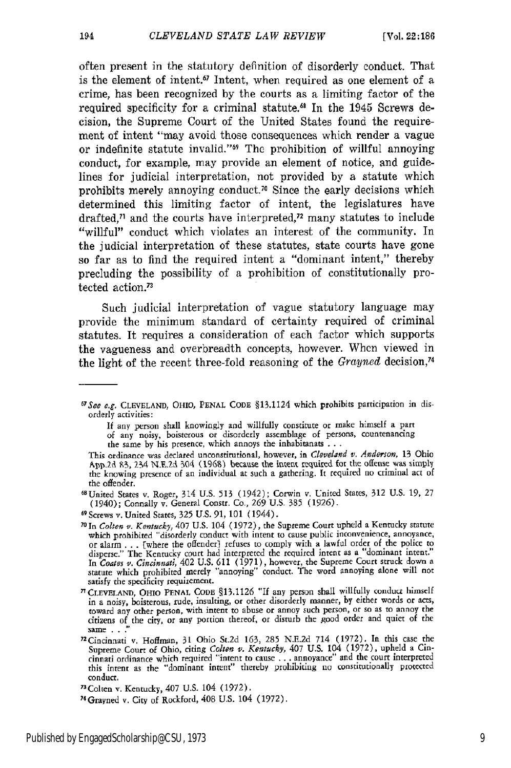often present in the statutory definition of disorderly conduct. That is the element of intent.<sup>67</sup> Intent, when required as one element of a crime, has been recognized by the courts as a limiting factor of the required specificity for a criminal statute.<sup>68</sup> In the 1945 Screws decision, the Supreme Court of the United States found the requirement of intent "may avoid those consequences which render a vague or indefinite statute invalid."<sup>69</sup> The prohibition of willful annoying conduct, for example, may provide an element of notice, and guidelines for judicial interpretation, not provided by a statute which prohibits merely annoying conduct.<sup>70</sup> Since the early decisions which determined this limiting factor of intent, the legislatures have drafted, $\eta$  and the courts have interpreted, $\eta$  many statutes to include "willful" conduct which violates an interest of the community. In the judicial interpretation of these statutes, state courts have gone so far as to find the required intent a "dominant intent," thereby precluding the possibility of a prohibition of constitutionally protected action.<sup>73</sup>

Such judicial interpretation of vague statutory language may provide the minimum standard of certainty required of criminal statutes. It requires a consideration of each factor which supports the vagueness and overbreadth concepts, however. When viewed in the light of the recent three-fold reasoning of the *Grayned* decision, <sup>4</sup>

If any person shall knowingly and willfully constitute or make himself a **part** of any noisy, boisterous or disorderly assemblage of persons, countenancing the same by his presence, which annoys the inhabitanats **. .** .

*<sup>6</sup> t*7 See e.g. **CLEVELAND,** OHIO, **PENAL CODE** §13.1124 which prohibits participation in disorderly activities:

This ordinance was declared unconstitutional, however, in *Cleveland v. Anderson,* 13 Ohio App.2d 83, 234 N.E.2d 304 (1968) because the intent required for the offense was simply the knowing presence of an individual at such a gathering. it required no criminal act of the offender.

<sup>6</sup> 8United States v. Roger, 314 U.S. 513 (1942); Corwin v. United States, 312 **U.S.** 19, 27 (1940); Connally v. General Constr. Co., 269 **U.S. 385** (1926).

**<sup>69</sup>** Screws v. United States, 325 U.S. 91,101 (1944).

**<sup>70</sup>**In *Colten v. Kentucky,* 407 U.S. 104 (1972), the Supreme Court upheld a Kentucky statute which prohibited "disorderly conduct with intent **to** cause public inconvenience, annoyance, or alarm . **..** [where the offenderi refuses to comply with a lawful order of the police to disperse." The Kentucky court had interpreted the required intent as a "dominant intent."<br>In Coates v. Cincinnati, 402 U.S. 611 (1971), however, the Supreme Court struck down a<br>statute which prohibited merely "annoying" co satisfy the specificity requirement.

<sup>&</sup>lt;sup>71</sup> CLEVELAND, OHIO PENAL CODE §13.1126 "If any person shall willfully conduct himself in a noisy, boisterous, rude, insulting, or other disorderly manner, by either words or acts, toward any other person, with intent to abuse or annoy such person, or so as to annoy the citizens of the city, or any portion thereof, or disturb the good order and quiet of the same . . .'

<sup>72</sup>Cincinnati v. Hoffman, 31 Ohio St.2d 163, 285 N.E.2d 714 (1972). In this case the Supreme Court of Ohio, citing *Colten v. Kentucky*, 407 U.S. 104 (1972), upheld a Cincinnati ordinance which required "'intent to cause **...** annoyance" and the court interpreted this intent as the "dominant intent" thereby prohibiting no constitutionally protected conduct.

<sup>73</sup>Colten v. Kentucky, 407 U.S. 104 (1972).

<sup>74</sup>Grayned v. City of Rockford, 408 U.S. 104 (1972).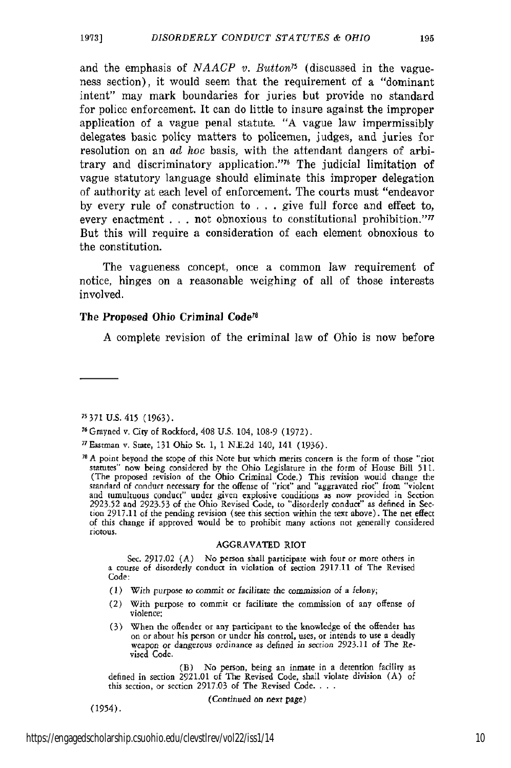and the emphasis of *NAACP v. Button*<sup>75</sup> (discussed in the vagueness section), it would seem that the requirement of a "dominant intent" may mark boundaries for juries but provide no standard for police enforcement. It can do little to insure against the improper application of a vague penal statute. "A vague law impermissibly delegates basic policy matters to policemen, judges, and juries for resolution on an *ad* hoe basis, with the attendant dangers of arbitrary and discriminatory application."<sup>76</sup> The judicial limitation of vague statutory language should eliminate this improper delegation of authority at each level of enforcement. The courts must "endeavor by every rule of construction to **.** . . give full force and effect to, every enactment . . . not obnoxious to constitutional prohibition."<sup>77</sup> But this will require a consideration of each element obnoxious to the constitution.

The vagueness concept, once a common law requirement of notice, hinges on a reasonable weighing of all of those interests involved.

## The Proposed Ohio Criminal Code<sup>78</sup>

A complete revision of the criminal law of Ohio is now before

### AGGRAVATED RIOT

Sec. 2917.02 (A) No person shall participate with four or more others in a course of disorderly conduct in violation of section 2917-11 of The Revised Code:

- (1) With *purpose to commit or* facilitate *the commission* of a felony;
- (2) With purpose to commit or facilitate the commission of any offense **of** violence;
- (3) When the offender or any participant to the knowledge of the offender *has* on or about his person or under his control, uses, or intends to use a deadly weapon *or dangerous* ordinance *as* defined in section 2923.11 of The Revised Code.

(B) No person, being **an** inmate in a detention facility as defined in section 2921.01 of The Revised Code, shall violate division (A) of this section, or section 2917.03 of The Revised Code. **...**

(Continued on *next* page)

**<sup>75</sup> 371** U.S. 415 (1963).

**<sup>76</sup>** Grayned v. City of Rockford, 408 U.S. 104, 108-9 (1972).

<sup>77</sup>Eastman v, State, 131 Ohio St. 1, 1 **N.E.2d** 140, 141 (1936).

**<sup>7</sup>** A point beyond the scope of this Note but which merits concern is the form of those "riot statutes" now being considered by the Ohio Legislature in the form of House Bill 511.<br>(The proposed revision of the Ohio Criminal Code.) This revision would change the<br>standard of conduct necessary for the offense of "riot tion 2917.11 of the pending revision (see this section within the text above). The net effect of this change if approved would be to prohibit many actions not generally considered riotous.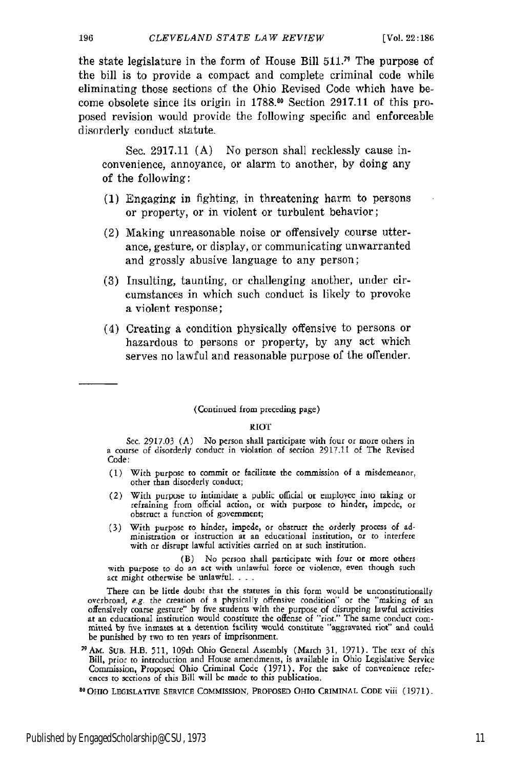196

the state legislature in the form of House Bill  $511.^{\prime\prime}$  The purpose of the bill is to provide a compact and complete criminal code while eliminating those sections of the Ohio Revised Code which have become obsolete since its origin in **1788.0** Section 2917.11 of this proposed revision would provide the following specific and enforceable disorderly conduct statute.

Sec. 2917.11 (A) No person shall recklessly cause inconvenience, annoyance, or alarm to another, by doing any of the following:

- (1) Engaging in fighting, in threatening harm to persons or property, or in violent or turbulent behavior;
- (2) Making unreasonable noise or offensively course utterance, gesture, or display, or communicating unwarranted and grossly abusive language to any person;
- (3) Insulting, taunting, or challenging another, under circumstances in which such conduct is likely to provoke a violent response;
- (4) Creating a condition physically offensive to persons or hazardous to persons or property, by any act which serves no lawful and reasonable purpose of the offender.

## (Continued from preceding page)

### **RIOT**

Sec. 2917.03 **(A)** No person shall participate with four or more others in a course of disorderly conduct in violation of section **2917.11** of The Revised Code:

- **(1)** With purpose to commit or facilitate the commission of a misdemeanor, other than disorderly conduct;
- (2) With purpose to intimidate a public official or employee into taking or refraining from official action, or with purpose to hinder, impede, **of** obstruct a function of government;
- **(3)** With purpose to hinder, impede, or obstruct the orderly process of ad-ministration or instruction **at** an educational institution, or to interfere with or disrupt lawful activities carried on **at** such institution.

(B) No person shall participate with four or more others with purpose to do an act with unlawful force or violence, even though such act might otherwise be unlawful. . . .

There can be little doubt that the statutes in this form would be unconstitutionally overbroad, e-g. the creation of a physically offensive condition" or the "making of an offensively coarse gesture" by five students with the purpose of disrupting lawful activities<br>at an educational institution would constitute the offense of "riot." The same conduct com-<br>mitted by five inmates at a detentio mitted by five inmates at a detention facility would constitute "aggravated riot" and could be punished by two to ten years of imprisonment.

"AM. SuB. H.B. 511, 109th Ohio General Assembly (March 31, 1971). The text of this Bill, prior to introduction and House amendments, is available in Ohio Legislative Service Commission, Proposed Ohio Criminal Code (1971). For **the** sake of convenience references to sections of this Bill will **be** made **to** this publication.

**80** OHIO **LEGISLATIVE** SERVICE COMMISSION, PROPOSED **OHIO** CRIMINAL **CODE** viii (1971),